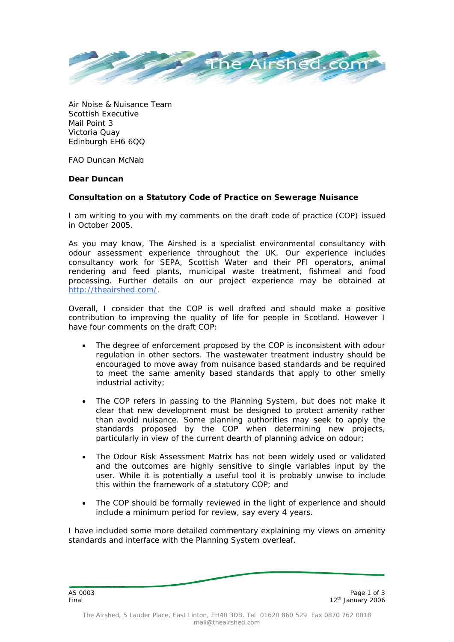

*Air Noise & Nuisance Team Scottish Executive Mail Point 3 Victoria Quay Edinburgh EH6 6QQ* 

*FAO Duncan McNab* 

## **Dear Duncan**

### **Consultation on a Statutory Code of Practice on Sewerage Nuisance**

I am writing to you with my comments on the draft code of practice (COP) issued in October 2005.

As you may know, *The Airshed* is a specialist environmental consultancy with odour assessment experience throughout the UK. Our experience includes consultancy work for SEPA, Scottish Water and their PFI operators, animal rendering and feed plants, municipal waste treatment, fishmeal and food processing. Further details on our project experience may be obtained at [http://theairshed.com/](http://theairshed.com/odour_assessment.htm).

Overall, I consider that the COP is well drafted and should make a positive contribution to improving the quality of life for people in Scotland. However I have four comments on the draft COP:

- The degree of enforcement proposed by the COP is inconsistent with odour regulation in other sectors. The wastewater treatment industry should be encouraged to move away from nuisance based standards and be required to meet the same amenity based standards that apply to other smelly industrial activity;
- The COP refers in passing to the Planning System, but does not make it clear that new development must be designed to protect amenity rather than avoid nuisance. Some planning authorities may seek to apply the standards proposed by the COP when determining new projects, particularly in view of the current dearth of planning advice on odour;
- The Odour Risk Assessment Matrix has not been widely used or validated and the outcomes are highly sensitive to single variables input by the user. While it is potentially a useful tool it is probably unwise to include this within the framework of a statutory COP; and
- The COP should be formally reviewed in the light of experience and should include a minimum period for review, say every 4 years.

I have included some more detailed commentary explaining my views on amenity standards and interface with the Planning System overleaf.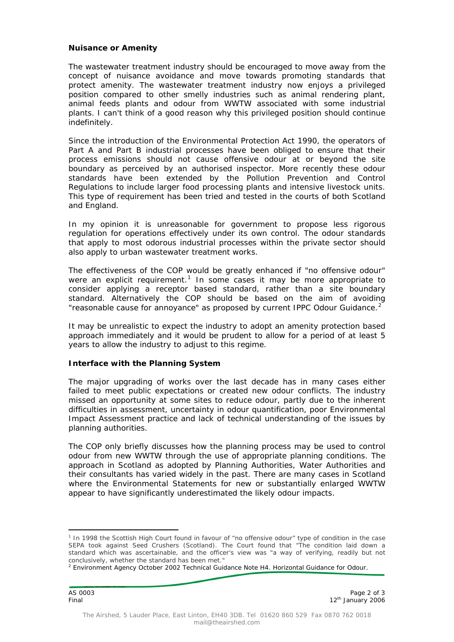### *Nuisance or Amenity*

The wastewater treatment industry should be encouraged to move away from the concept of nuisance avoidance and move towards promoting standards that protect amenity. The wastewater treatment industry now enjoys a privileged position compared to other smelly industries such as animal rendering plant, animal feeds plants and odour from WWTW associated with some industrial plants. I can't think of a good reason why this privileged position should continue indefinitely.

Since the introduction of the Environmental Protection Act 1990, the operators of Part A and Part B industrial processes have been obliged to ensure that their process emissions should not cause offensive odour at or beyond the site boundary as perceived by an authorised inspector. More recently these odour standards have been extended by the Pollution Prevention and Control Regulations to include larger food processing plants and intensive livestock units. This type of requirement has been tried and tested in the courts of both Scotland and England.

In my opinion it is unreasonable for government to propose less rigorous regulation for operations effectively under its own control. The odour standards that apply to most odorous industrial processes within the private sector should also apply to urban wastewater treatment works.

The effectiveness of the COP would be greatly enhanced if "no offensive odour" were an explicit requirement.<sup>[1](#page-1-0)</sup> In some cases it may be more appropriate to consider applying a receptor based standard, rather than a site boundary standard. Alternatively the COP should be based on the aim of avoiding "reasonable cause for annoyance" as proposed by current IPPC Odour Guidance. $2$ 

It may be unrealistic to expect the industry to adopt an amenity protection based approach immediately and it would be prudent to allow for a period of at least 5 years to allow the industry to adjust to this regime.

### *Interface with the Planning System*

The major upgrading of works over the last decade has in many cases either failed to meet public expectations or created new odour conflicts. The industry missed an opportunity at some sites to reduce odour, partly due to the inherent difficulties in assessment, uncertainty in odour quantification, poor Environmental Impact Assessment practice and lack of technical understanding of the issues by planning authorities.

The COP only briefly discusses how the planning process may be used to control odour from new WWTW through the use of appropriate planning conditions. The approach in Scotland as adopted by Planning Authorities, Water Authorities and their consultants has varied widely in the past. There are many cases in Scotland where the Environmental Statements for new or substantially enlarged WWTW appear to have significantly underestimated the likely odour impacts.

 $\overline{a}$ 

<span id="page-1-0"></span><sup>&</sup>lt;sup>1</sup> In 1998 the Scottish High Court found in favour of "no offensive odour" type of condition in the case SEPA took against Seed Crushers (Scotland). The Court found that "The condition laid down a standard which was ascertainable, and the officer's view was "a way of verifying, readily but not

<span id="page-1-1"></span>conclusively, whether the standard has been met."<br><sup>2</sup> Environment Agency October 2002 Technical Guidance Note H4. Horizontal Guidance for Odour.